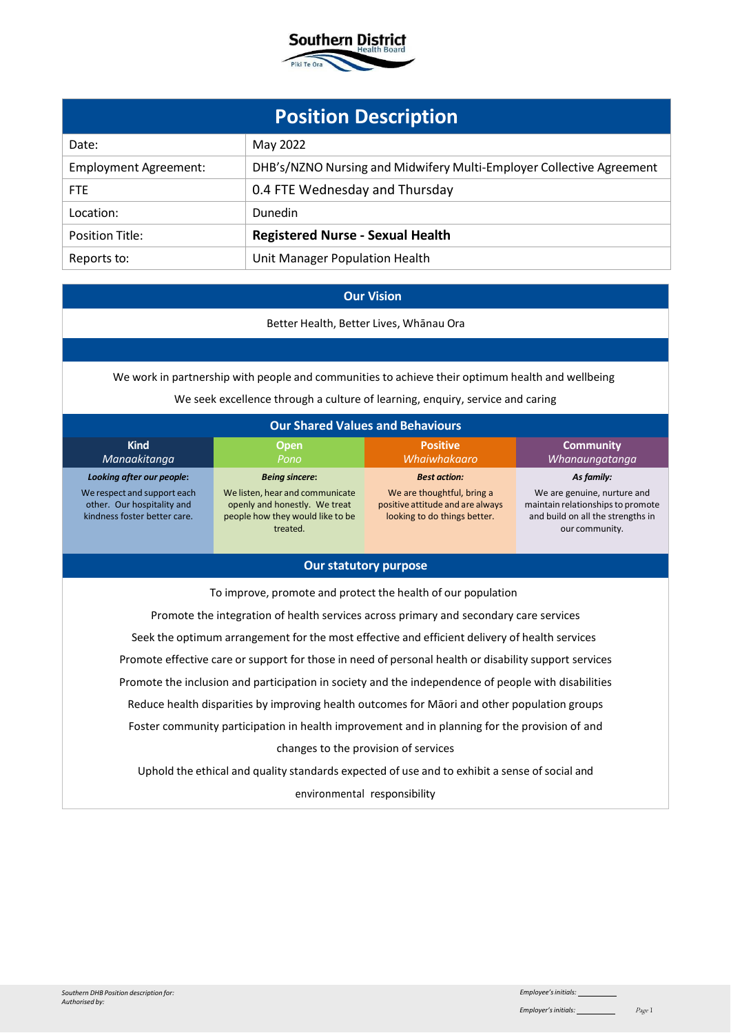

| <b>Position Description</b>  |                                                                      |  |
|------------------------------|----------------------------------------------------------------------|--|
| Date:                        | May 2022                                                             |  |
| <b>Employment Agreement:</b> | DHB's/NZNO Nursing and Midwifery Multi-Employer Collective Agreement |  |
| <b>FTE</b>                   | 0.4 FTE Wednesday and Thursday                                       |  |
| Location:                    | <b>Dunedin</b>                                                       |  |
| <b>Position Title:</b>       | <b>Registered Nurse - Sexual Health</b>                              |  |
| Reports to:                  | Unit Manager Population Health                                       |  |

## **Our Vision**

Better Health, Better Lives, Whānau Ora

We work in partnership with people and communities to achieve their optimum health and wellbeing

We seek excellence through a culture of learning, enquiry, service and caring

| <b>Our Shared Values and Behaviours</b>                                                                                                                                                                                                                                                                                                                                                                                                                                                                                                                                |                                                                                                                                           |                                                                                                                       |                                                                                                                                       |
|------------------------------------------------------------------------------------------------------------------------------------------------------------------------------------------------------------------------------------------------------------------------------------------------------------------------------------------------------------------------------------------------------------------------------------------------------------------------------------------------------------------------------------------------------------------------|-------------------------------------------------------------------------------------------------------------------------------------------|-----------------------------------------------------------------------------------------------------------------------|---------------------------------------------------------------------------------------------------------------------------------------|
| <b>Kind</b><br>Manaakitanga                                                                                                                                                                                                                                                                                                                                                                                                                                                                                                                                            | <b>Open</b><br>Pono                                                                                                                       | <b>Positive</b><br>Whaiwhakaaro                                                                                       | <b>Community</b><br>Whanaungatanga                                                                                                    |
| Looking after our people:<br>We respect and support each<br>other. Our hospitality and<br>kindness foster better care.                                                                                                                                                                                                                                                                                                                                                                                                                                                 | <b>Being sincere:</b><br>We listen, hear and communicate<br>openly and honestly. We treat<br>people how they would like to be<br>treated. | <b>Best action:</b><br>We are thoughtful, bring a<br>positive attitude and are always<br>looking to do things better. | As family:<br>We are genuine, nurture and<br>maintain relationships to promote<br>and build on all the strengths in<br>our community. |
|                                                                                                                                                                                                                                                                                                                                                                                                                                                                                                                                                                        | <b>Our statutory purpose</b>                                                                                                              |                                                                                                                       |                                                                                                                                       |
| To improve, promote and protect the health of our population<br>Promote the integration of health services across primary and secondary care services<br>Seek the optimum arrangement for the most effective and efficient delivery of health services<br>Promote effective care or support for those in need of personal health or disability support services<br>Promote the inclusion and participation in society and the independence of people with disabilities<br>Reduce health disparities by improving health outcomes for Māori and other population groups |                                                                                                                                           |                                                                                                                       |                                                                                                                                       |
| Foster community participation in health improvement and in planning for the provision of and                                                                                                                                                                                                                                                                                                                                                                                                                                                                          |                                                                                                                                           |                                                                                                                       |                                                                                                                                       |
| changes to the provision of services                                                                                                                                                                                                                                                                                                                                                                                                                                                                                                                                   |                                                                                                                                           |                                                                                                                       |                                                                                                                                       |
| Uphold the ethical and quality standards expected of use and to exhibit a sense of social and                                                                                                                                                                                                                                                                                                                                                                                                                                                                          |                                                                                                                                           |                                                                                                                       |                                                                                                                                       |
|                                                                                                                                                                                                                                                                                                                                                                                                                                                                                                                                                                        |                                                                                                                                           |                                                                                                                       |                                                                                                                                       |

environmental responsibility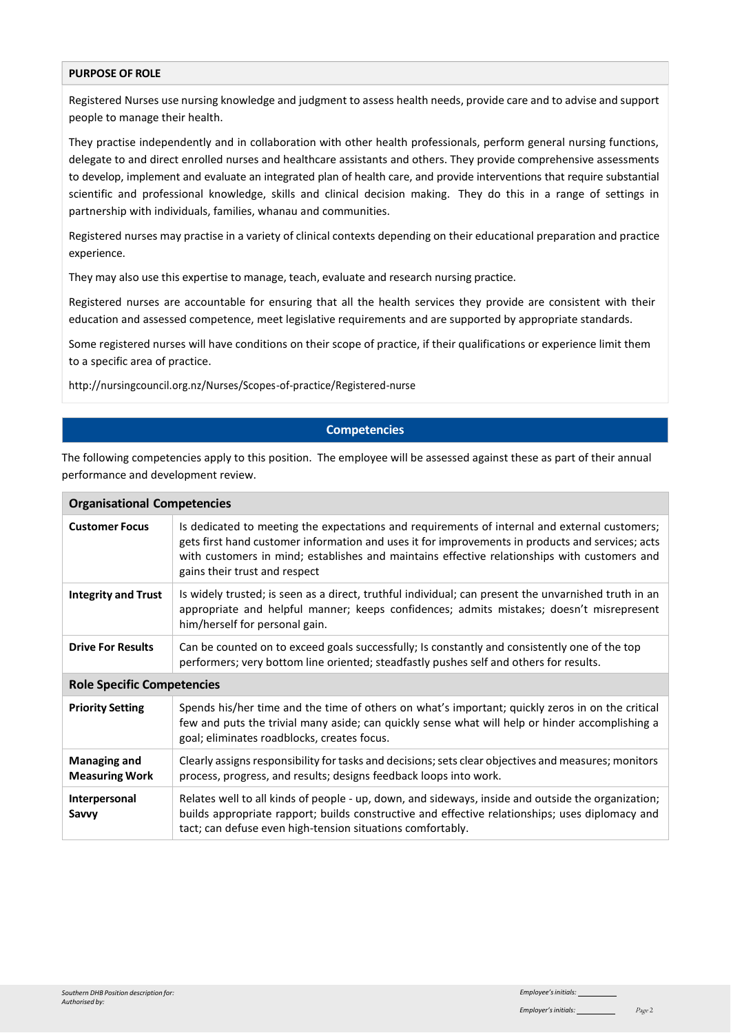#### **PURPOSE OF ROLE**

Registered Nurses use nursing knowledge and judgment to assess health needs, provide care and to advise and support people to manage their health.

They practise independently and in collaboration with other health professionals, perform general nursing functions, delegate to and direct enrolled nurses and healthcare assistants and others. They provide comprehensive assessments to develop, implement and evaluate an integrated plan of health care, and provide interventions that require substantial scientific and professional knowledge, skills and clinical decision making. They do this in a range of settings in partnership with individuals, families, whanau and communities.

Registered nurses may practise in a variety of clinical contexts depending on their educational preparation and practice experience.

They may also use this expertise to manage, teach, evaluate and research nursing practice.

Registered nurses are accountable for ensuring that all the health services they provide are consistent with their education and assessed competence, meet legislative requirements and are supported by appropriate standards.

Some registered nurses will have conditions on their scope of practice, if their qualifications or experience limit them to a specific area of practice.

<http://nursingcouncil.org.nz/Nurses/Scopes-of-practice/Registered-nurse>

## **Competencies**

The following competencies apply to this position. The employee will be assessed against these as part of their annual performance and development review.

| <b>Organisational Competencies</b>           |                                                                                                                                                                                                                                                                                                                                    |  |
|----------------------------------------------|------------------------------------------------------------------------------------------------------------------------------------------------------------------------------------------------------------------------------------------------------------------------------------------------------------------------------------|--|
| <b>Customer Focus</b>                        | Is dedicated to meeting the expectations and requirements of internal and external customers;<br>gets first hand customer information and uses it for improvements in products and services; acts<br>with customers in mind; establishes and maintains effective relationships with customers and<br>gains their trust and respect |  |
| <b>Integrity and Trust</b>                   | Is widely trusted; is seen as a direct, truthful individual; can present the unvarnished truth in an<br>appropriate and helpful manner; keeps confidences; admits mistakes; doesn't misrepresent<br>him/herself for personal gain.                                                                                                 |  |
| <b>Drive For Results</b>                     | Can be counted on to exceed goals successfully; Is constantly and consistently one of the top<br>performers; very bottom line oriented; steadfastly pushes self and others for results.                                                                                                                                            |  |
| <b>Role Specific Competencies</b>            |                                                                                                                                                                                                                                                                                                                                    |  |
| <b>Priority Setting</b>                      | Spends his/her time and the time of others on what's important; quickly zeros in on the critical<br>few and puts the trivial many aside; can quickly sense what will help or hinder accomplishing a<br>goal; eliminates roadblocks, creates focus.                                                                                 |  |
| <b>Managing and</b><br><b>Measuring Work</b> | Clearly assigns responsibility for tasks and decisions; sets clear objectives and measures; monitors<br>process, progress, and results; designs feedback loops into work.                                                                                                                                                          |  |
| Interpersonal<br>Savvy                       | Relates well to all kinds of people - up, down, and sideways, inside and outside the organization;<br>builds appropriate rapport; builds constructive and effective relationships; uses diplomacy and<br>tact; can defuse even high-tension situations comfortably.                                                                |  |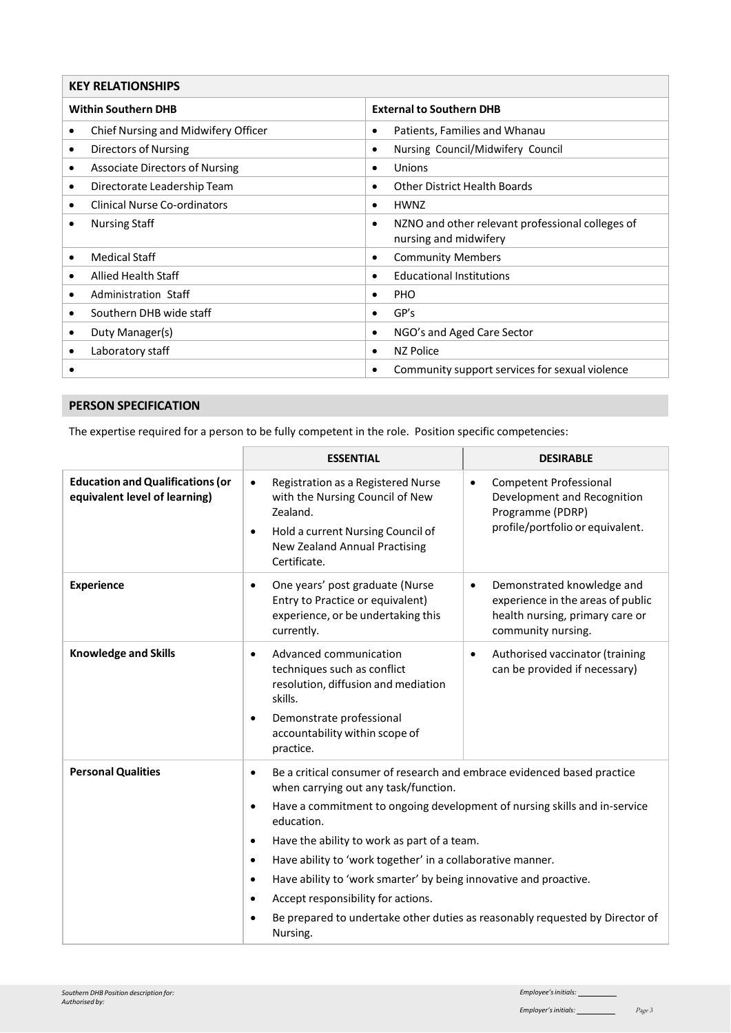| <b>KEY RELATIONSHIPS</b>                                      |                                       |           |                                                                           |
|---------------------------------------------------------------|---------------------------------------|-----------|---------------------------------------------------------------------------|
| <b>Within Southern DHB</b><br><b>External to Southern DHB</b> |                                       |           |                                                                           |
| ٠                                                             | Chief Nursing and Midwifery Officer   | $\bullet$ | Patients, Families and Whanau                                             |
| ٠                                                             | Directors of Nursing                  | $\bullet$ | Nursing Council/Midwifery Council                                         |
| ٠                                                             | <b>Associate Directors of Nursing</b> | $\bullet$ | Unions                                                                    |
| ٠                                                             | Directorate Leadership Team           | $\bullet$ | <b>Other District Health Boards</b>                                       |
| ٠                                                             | <b>Clinical Nurse Co-ordinators</b>   | $\bullet$ | <b>HWNZ</b>                                                               |
| ٠                                                             | <b>Nursing Staff</b>                  | $\bullet$ | NZNO and other relevant professional colleges of<br>nursing and midwifery |
| $\bullet$                                                     | <b>Medical Staff</b>                  | $\bullet$ | <b>Community Members</b>                                                  |
| ٠                                                             | Allied Health Staff                   | $\bullet$ | <b>Educational Institutions</b>                                           |
| ٠                                                             | Administration Staff                  | $\bullet$ | <b>PHO</b>                                                                |
| $\bullet$                                                     | Southern DHB wide staff               | $\bullet$ | GP's                                                                      |
| ٠                                                             | Duty Manager(s)                       | $\bullet$ | NGO's and Aged Care Sector                                                |
|                                                               | Laboratory staff                      | $\bullet$ | NZ Police                                                                 |
|                                                               |                                       | $\bullet$ | Community support services for sexual violence                            |

# **PERSON SPECIFICATION**

The expertise required for a person to be fully competent in the role. Position specific competencies:

|                                                                          | <b>ESSENTIAL</b>                                                                                                                                                                                                                                                                                                                                                                                                                                                                                                             | <b>DESIRABLE</b>                                                                                                                      |
|--------------------------------------------------------------------------|------------------------------------------------------------------------------------------------------------------------------------------------------------------------------------------------------------------------------------------------------------------------------------------------------------------------------------------------------------------------------------------------------------------------------------------------------------------------------------------------------------------------------|---------------------------------------------------------------------------------------------------------------------------------------|
| <b>Education and Qualifications (or</b><br>equivalent level of learning) | Registration as a Registered Nurse<br>$\bullet$<br>with the Nursing Council of New<br>Zealand.<br>Hold a current Nursing Council of<br>$\bullet$<br><b>New Zealand Annual Practising</b><br>Certificate.                                                                                                                                                                                                                                                                                                                     | <b>Competent Professional</b><br>$\bullet$<br>Development and Recognition<br>Programme (PDRP)<br>profile/portfolio or equivalent.     |
| <b>Experience</b>                                                        | One years' post graduate (Nurse<br>$\bullet$<br>Entry to Practice or equivalent)<br>experience, or be undertaking this<br>currently.                                                                                                                                                                                                                                                                                                                                                                                         | Demonstrated knowledge and<br>$\bullet$<br>experience in the areas of public<br>health nursing, primary care or<br>community nursing. |
| <b>Knowledge and Skills</b>                                              | Advanced communication<br>$\bullet$<br>techniques such as conflict<br>resolution, diffusion and mediation<br>skills.<br>Demonstrate professional<br>$\bullet$<br>accountability within scope of<br>practice.                                                                                                                                                                                                                                                                                                                 | Authorised vaccinator (training<br>$\bullet$<br>can be provided if necessary)                                                         |
| <b>Personal Qualities</b>                                                | Be a critical consumer of research and embrace evidenced based practice<br>$\bullet$<br>when carrying out any task/function.<br>Have a commitment to ongoing development of nursing skills and in-service<br>$\bullet$<br>education.<br>Have the ability to work as part of a team.<br>$\bullet$<br>Have ability to 'work together' in a collaborative manner.<br>$\bullet$<br>Have ability to 'work smarter' by being innovative and proactive.<br>$\bullet$<br>Accept responsibility for actions.<br>$\bullet$<br>Nursing. | Be prepared to undertake other duties as reasonably requested by Director of                                                          |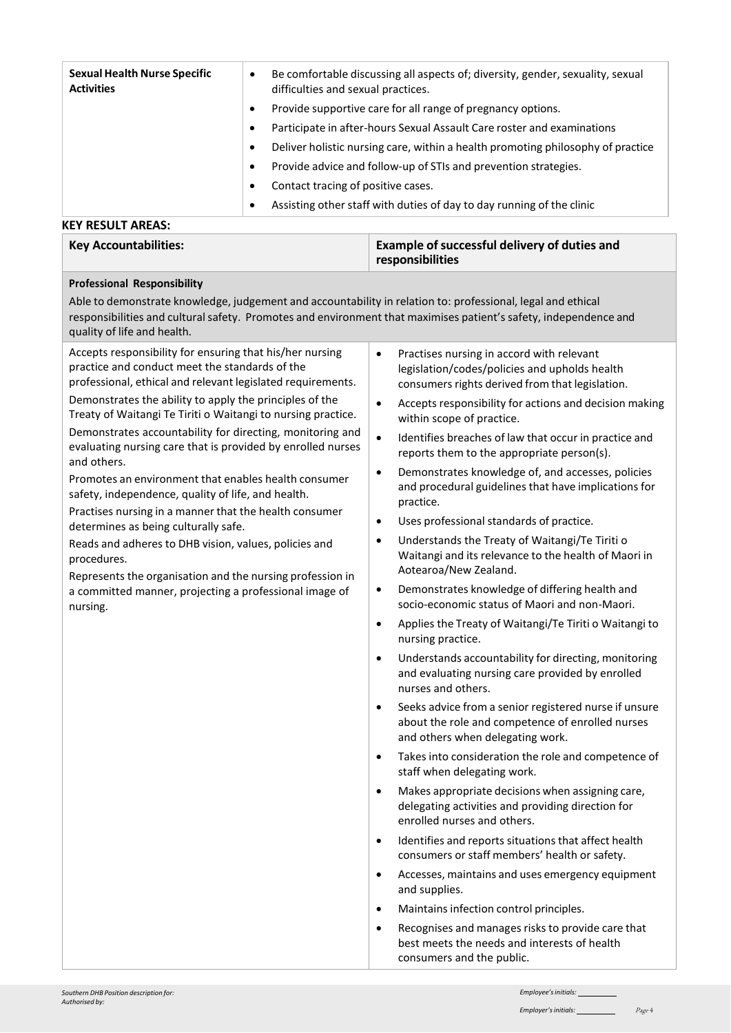| <b>Sexual Health Nurse Specific</b><br><b>Activities</b> | $\bullet$ | Be comfortable discussing all aspects of; diversity, gender, sexuality, sexual<br>difficulties and sexual practices. |
|----------------------------------------------------------|-----------|----------------------------------------------------------------------------------------------------------------------|
|                                                          | ٠         | Provide supportive care for all range of pregnancy options.                                                          |
|                                                          |           | Participate in after-hours Sexual Assault Care roster and examinations                                               |
|                                                          | ٠         | Deliver holistic nursing care, within a health promoting philosophy of practice                                      |
|                                                          |           | Provide advice and follow-up of STIs and prevention strategies.                                                      |
|                                                          |           | Contact tracing of positive cases.                                                                                   |
|                                                          |           | Assisting other staff with duties of day to day running of the clinic                                                |
| KEY RESULT AREAS:                                        |           |                                                                                                                      |

## **Key Accountabilities: Example ofsuccessful delivery of duties and responsibilities**

### **Professional Responsibility**

Able to demonstrate knowledge, judgement and accountability in relation to: professional, legal and ethical responsibilities and cultural safety. Promotes and environment that maximises patient's safety, independence and quality of life and health.

Accepts responsibility for ensuring that his/her nursing practice and conduct meet the standards of the

professional, ethical and relevant legislated requirements. Demonstrates the ability to apply the principles of the Treaty of Waitangi Te Tiriti o Waitangi to nursing practice. Demonstrates accountability for directing, monitoring and evaluating nursing care that is provided by enrolled nurses and others.

Promotes an environment that enables health consumer safety, independence, quality of life, and health.

Practises nursing in a manner that the health consumer determines as being culturally safe.

Reads and adheres to DHB vision, values, policies and procedures.

Represents the organisation and the nursing profession in a committed manner, projecting a professional image of nursing.

- Practises nursing in accord with relevant legislation/codes/policies and upholds health consumers rights derived from that legislation.
- Accepts responsibility for actions and decision making within scope of practice.
- Identifies breaches of law that occur in practice and reports them to the appropriate person(s).
- Demonstrates knowledge of, and accesses, policies and procedural guidelines that have implications for practice.
- Uses professional standards of practice.
- Understands the Treaty of Waitangi/Te Tiriti o Waitangi and its relevance to the health of Maori in Aotearoa/New Zealand.
- Demonstrates knowledge of differing health and socio-economic status of Maori and non-Maori.
- Applies the Treaty of Waitangi/Te Tiriti o Waitangi to nursing practice.
- Understands accountability for directing, monitoring and evaluating nursing care provided by enrolled nurses and others.
- Seeks advice from a senior registered nurse if unsure about the role and competence of enrolled nurses and others when delegating work.
- Takes into consideration the role and competence of staff when delegating work.
- Makes appropriate decisions when assigning care, delegating activities and providing direction for enrolled nurses and others.
- Identifies and reports situations that affect health consumers or staff members' health or safety.
- Accesses, maintains and uses emergency equipment and supplies.
- Maintains infection control principles.
- Recognises and manages risks to provide care that best meets the needs and interests of health consumers and the public.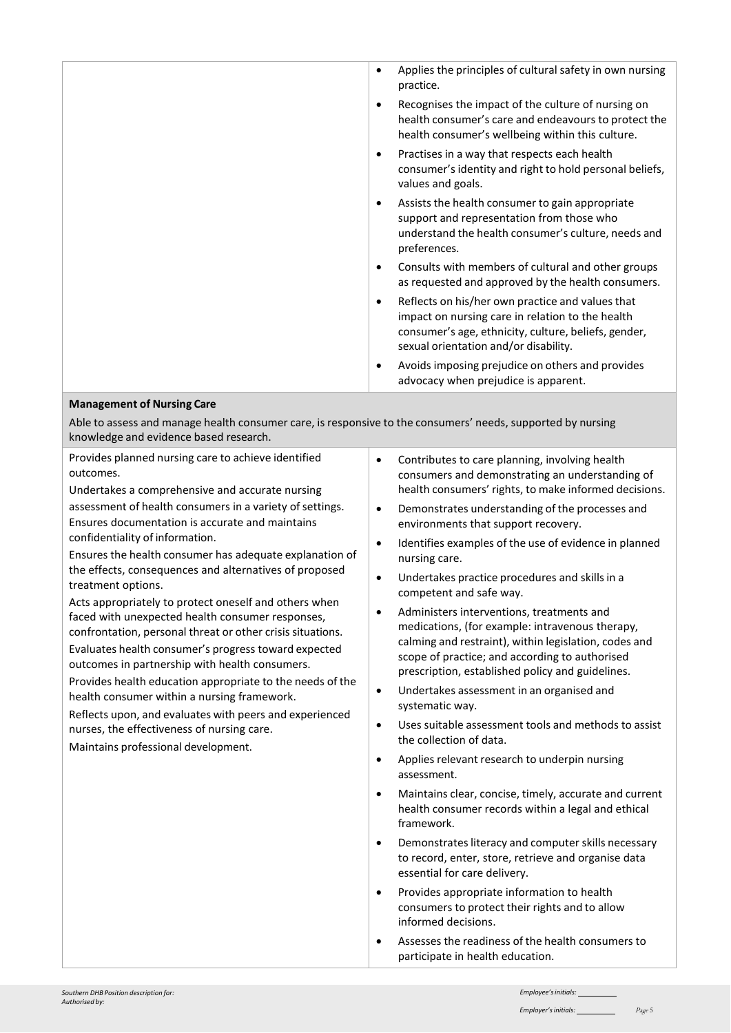|                                                                                                                      | Applies the principles of cultural safety in own nursing<br>practice.                                                                                                                                 |
|----------------------------------------------------------------------------------------------------------------------|-------------------------------------------------------------------------------------------------------------------------------------------------------------------------------------------------------|
|                                                                                                                      | Recognises the impact of the culture of nursing on<br>health consumer's care and endeavours to protect the<br>health consumer's wellbeing within this culture.                                        |
|                                                                                                                      | Practises in a way that respects each health<br>consumer's identity and right to hold personal beliefs,<br>values and goals.                                                                          |
|                                                                                                                      | Assists the health consumer to gain appropriate<br>support and representation from those who<br>understand the health consumer's culture, needs and<br>preferences.                                   |
|                                                                                                                      | Consults with members of cultural and other groups<br>as requested and approved by the health consumers.                                                                                              |
|                                                                                                                      | Reflects on his/her own practice and values that<br>impact on nursing care in relation to the health<br>consumer's age, ethnicity, culture, beliefs, gender,<br>sexual orientation and/or disability. |
|                                                                                                                      | Avoids imposing prejudice on others and provides<br>advocacy when prejudice is apparent.                                                                                                              |
| <b>Management of Nursing Care</b>                                                                                    |                                                                                                                                                                                                       |
| مستمسيها ببط المماسوسييم والمحمس أمسم سيسمع وملازمة والمسمسمين وسموسمو ومستحسم والالمموا ومحمومها سيم ومحموم مقاملها |                                                                                                                                                                                                       |

Able to assess and manage health consumer care, is responsive to the consumers' needs, supported by nursing knowledge and evidence based research.

| Provides planned nursing care to achieve identified<br>outcomes.<br>Undertakes a comprehensive and accurate nursing<br>assessment of health consumers in a variety of settings.<br>Ensures documentation is accurate and maintains<br>confidentiality of information.<br>Ensures the health consumer has adequate explanation of<br>the effects, consequences and alternatives of proposed<br>treatment options.<br>Acts appropriately to protect oneself and others when<br>faced with unexpected health consumer responses,<br>confrontation, personal threat or other crisis situations.<br>Evaluates health consumer's progress toward expected<br>outcomes in partnership with health consumers.<br>Provides health education appropriate to the needs of the<br>health consumer within a nursing framework.<br>Reflects upon, and evaluates with peers and experienced<br>nurses, the effectiveness of nursing care.<br>Maintains professional development. | Contributes to care planning, involving health<br>$\bullet$<br>consumers and demonstrating an understanding of<br>health consumers' rights, to make informed decisions.<br>Demonstrates understanding of the processes and<br>$\bullet$<br>environments that support recovery.<br>Identifies examples of the use of evidence in planned<br>$\bullet$<br>nursing care.<br>Undertakes practice procedures and skills in a<br>$\bullet$<br>competent and safe way.<br>Administers interventions, treatments and<br>$\bullet$<br>medications, (for example: intravenous therapy,<br>calming and restraint), within legislation, codes and<br>scope of practice; and according to authorised<br>prescription, established policy and guidelines.<br>Undertakes assessment in an organised and<br>$\bullet$<br>systematic way.<br>Uses suitable assessment tools and methods to assist<br>$\bullet$<br>the collection of data.<br>Applies relevant research to underpin nursing<br>$\bullet$<br>assessment.<br>Maintains clear, concise, timely, accurate and current<br>$\bullet$<br>health consumer records within a legal and ethical<br>framework.<br>Demonstrates literacy and computer skills necessary<br>$\bullet$<br>to record, enter, store, retrieve and organise data<br>essential for care delivery.<br>Provides appropriate information to health<br>$\bullet$<br>consumers to protect their rights and to allow<br>informed decisions. |
|-------------------------------------------------------------------------------------------------------------------------------------------------------------------------------------------------------------------------------------------------------------------------------------------------------------------------------------------------------------------------------------------------------------------------------------------------------------------------------------------------------------------------------------------------------------------------------------------------------------------------------------------------------------------------------------------------------------------------------------------------------------------------------------------------------------------------------------------------------------------------------------------------------------------------------------------------------------------|-------------------------------------------------------------------------------------------------------------------------------------------------------------------------------------------------------------------------------------------------------------------------------------------------------------------------------------------------------------------------------------------------------------------------------------------------------------------------------------------------------------------------------------------------------------------------------------------------------------------------------------------------------------------------------------------------------------------------------------------------------------------------------------------------------------------------------------------------------------------------------------------------------------------------------------------------------------------------------------------------------------------------------------------------------------------------------------------------------------------------------------------------------------------------------------------------------------------------------------------------------------------------------------------------------------------------------------------------------------------------------------------------------------------------------------------------|
|                                                                                                                                                                                                                                                                                                                                                                                                                                                                                                                                                                                                                                                                                                                                                                                                                                                                                                                                                                   |                                                                                                                                                                                                                                                                                                                                                                                                                                                                                                                                                                                                                                                                                                                                                                                                                                                                                                                                                                                                                                                                                                                                                                                                                                                                                                                                                                                                                                                 |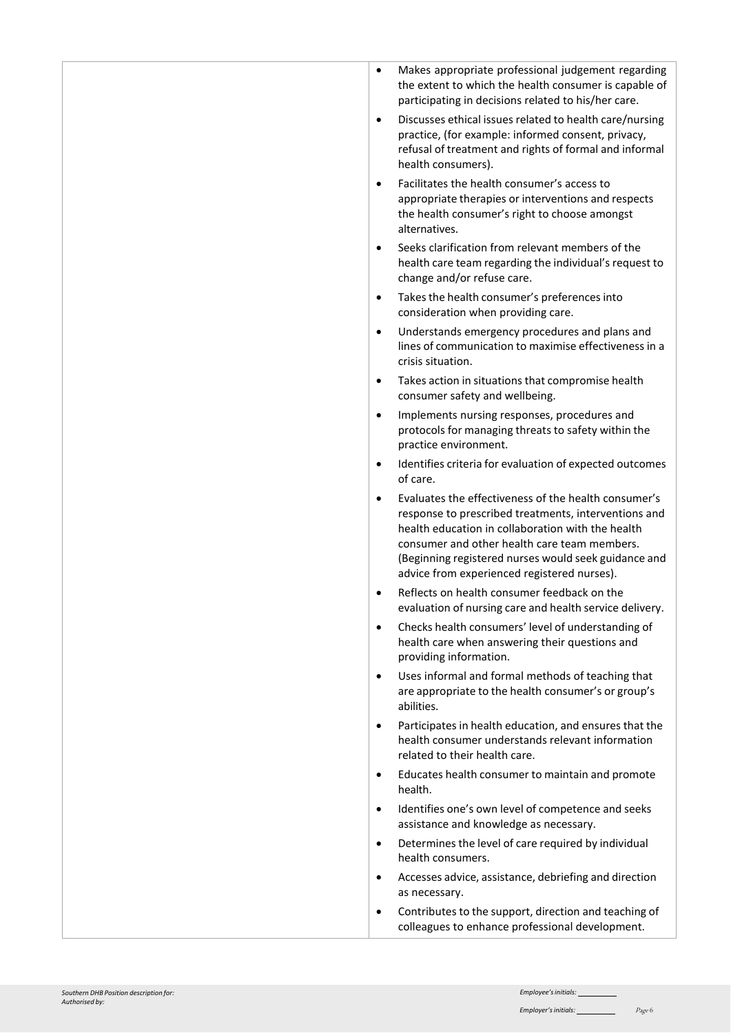| $\bullet$ | Makes appropriate professional judgement regarding<br>the extent to which the health consumer is capable of<br>participating in decisions related to his/her care.                            |
|-----------|-----------------------------------------------------------------------------------------------------------------------------------------------------------------------------------------------|
| $\bullet$ | Discusses ethical issues related to health care/nursing<br>practice, (for example: informed consent, privacy,<br>refusal of treatment and rights of formal and informal<br>health consumers). |
| $\bullet$ | Facilitates the health consumer's access to<br>appropriate therapies or interventions and respects<br>the health consumer's right to choose amongst<br>alternatives.                          |
| $\bullet$ | Seeks clarification from relevant members of the<br>health care team regarding the individual's request to<br>change and/or refuse care.                                                      |
| $\bullet$ | Takes the health consumer's preferences into<br>consideration when providing care.                                                                                                            |
| $\bullet$ | Understands emergency procedures and plans and<br>lines of communication to maximise effectiveness in a<br>crisis situation.                                                                  |
| $\bullet$ | Takes action in situations that compromise health<br>consumer safety and wellbeing.                                                                                                           |
| $\bullet$ | Implements nursing responses, procedures and<br>protocols for managing threats to safety within the<br>practice environment.                                                                  |
| $\bullet$ | Identifies criteria for evaluation of expected outcomes<br>of care.                                                                                                                           |
| $\bullet$ | Evaluates the effectiveness of the health consumer's<br>response to prescribed treatments, interventions and<br>health education in collaboration with the health                             |
|           | consumer and other health care team members.<br>(Beginning registered nurses would seek guidance and<br>advice from experienced registered nurses).                                           |
| $\bullet$ | Reflects on health consumer feedback on the<br>evaluation of nursing care and health service delivery.                                                                                        |
| $\bullet$ | Checks health consumers' level of understanding of<br>health care when answering their questions and<br>providing information.                                                                |
| $\bullet$ | Uses informal and formal methods of teaching that<br>are appropriate to the health consumer's or group's<br>abilities.                                                                        |
| $\bullet$ | Participates in health education, and ensures that the<br>health consumer understands relevant information<br>related to their health care.                                                   |
| $\bullet$ | Educates health consumer to maintain and promote<br>health.                                                                                                                                   |
| $\bullet$ | Identifies one's own level of competence and seeks<br>assistance and knowledge as necessary.                                                                                                  |
| $\bullet$ | Determines the level of care required by individual<br>health consumers.                                                                                                                      |
| $\bullet$ | Accesses advice, assistance, debriefing and direction<br>as necessary.                                                                                                                        |
| ٠         | Contributes to the support, direction and teaching of<br>colleagues to enhance professional development.                                                                                      |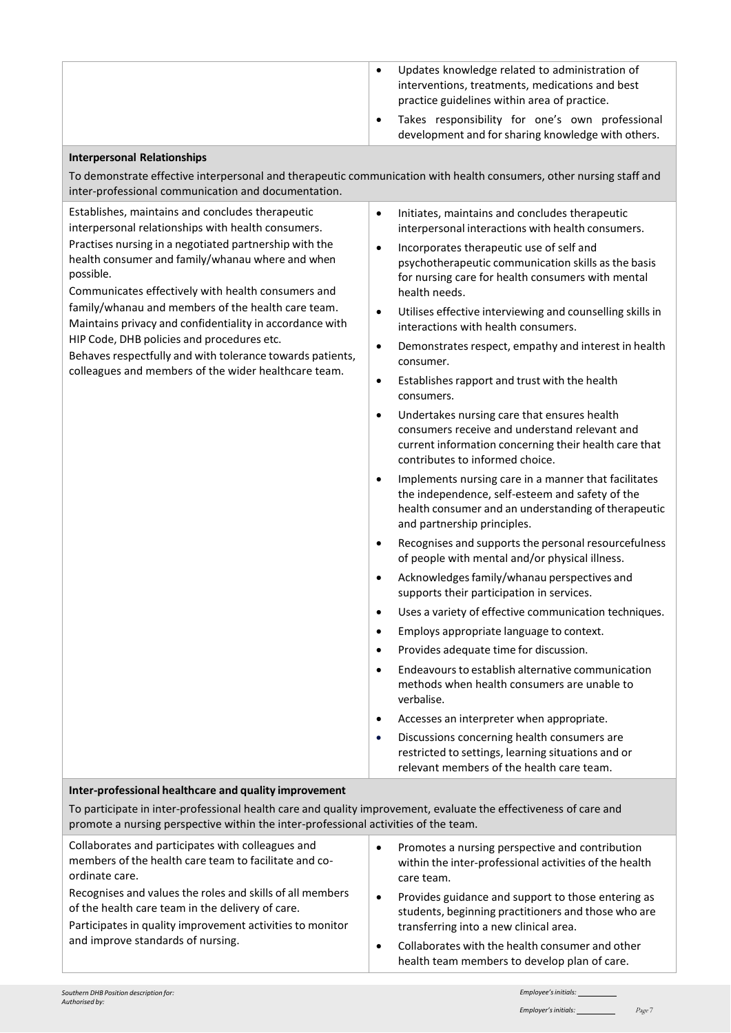|  | Updates knowledge related to administration of<br>interventions, treatments, medications and best<br>practice guidelines within area of practice. |
|--|---------------------------------------------------------------------------------------------------------------------------------------------------|
|  | Takes responsibility for one's own professional<br>development and for sharing knowledge with others.                                             |

#### **Interpersonal Relationships**

To demonstrate effective interpersonal and therapeutic communication with health consumers, other nursing staff and inter-professional communication and documentation.

Establishes, maintains and concludes therapeutic interpersonal relationships with health consumers. Practises nursing in a negotiated partnership with the health consumer and family/whanau where and when possible.

Communicates effectively with health consumers and family/whanau and members of the health care team. Maintains privacy and confidentiality in accordance with HIP Code, DHB policies and procedures etc.

Behaves respectfully and with tolerance towards patients, colleagues and members of the wider healthcare team.

- Initiates, maintains and concludes therapeutic interpersonal interactions with health consumers.
- Incorporates therapeutic use of self and psychotherapeutic communication skills as the basis for nursing care for health consumers with mental health needs.
- Utilises effective interviewing and counselling skills in interactions with health consumers.
- Demonstrates respect, empathy and interest in health consumer.
- $\bullet$  Establishes rapport and trust with the health consumers.
- Undertakes nursing care that ensures health consumers receive and understand relevant and current information concerning their health care that contributes to informed choice.
- Implements nursing care in a manner that facilitates the independence, self-esteem and safety of the health consumer and an understanding of therapeutic and partnership principles.
- Recognises and supports the personal resourcefulness of people with mental and/or physical illness.
- Acknowledges family/whanau perspectives and supports their participation in services.
- Uses a variety of effective communication techniques.
- Employs appropriate language to context.
- Provides adequate time for discussion.
- Endeavours to establish alternative communication methods when health consumers are unable to verbalise.
- Accesses an interpreter when appropriate.
- Discussions concerning health consumers are restricted to settings, learning situations and or relevant members of the health care team.

#### **Inter-professional healthcare and quality improvement**

| To participate in inter-professional health care and quality improvement, evaluate the effectiveness of care and<br>promote a nursing perspective within the inter-professional activities of the team.         |                                                                                                                                                                  |
|-----------------------------------------------------------------------------------------------------------------------------------------------------------------------------------------------------------------|------------------------------------------------------------------------------------------------------------------------------------------------------------------|
| Collaborates and participates with colleagues and<br>members of the health care team to facilitate and co-<br>ordinate care.                                                                                    | Promotes a nursing perspective and contribution<br>٠<br>within the inter-professional activities of the health<br>care team.                                     |
| Recognises and values the roles and skills of all members<br>of the health care team in the delivery of care.<br>Participates in quality improvement activities to monitor<br>and improve standards of nursing. | Provides guidance and support to those entering as<br>$\bullet$<br>students, beginning practitioners and those who are<br>transferring into a new clinical area. |
|                                                                                                                                                                                                                 | Collaborates with the health consumer and other<br>$\bullet$<br>health team members to develop plan of care.                                                     |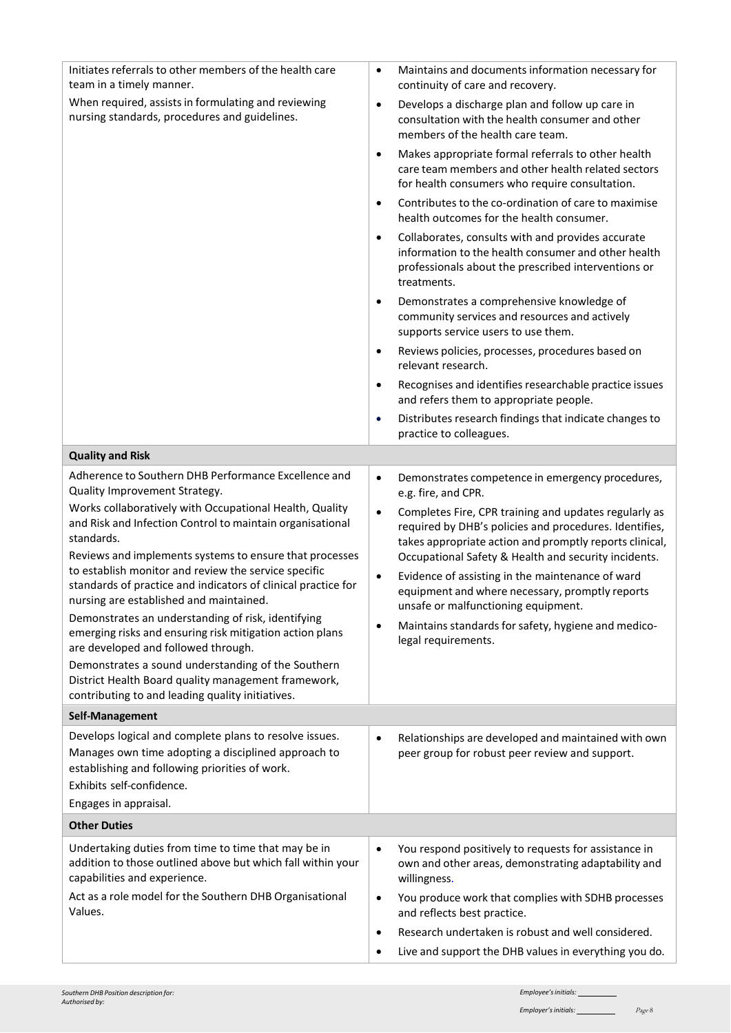| Initiates referrals to other members of the health care<br>team in a timely manner.                                                                                                           | $\bullet$ | Maintains and documents information necessary for<br>continuity of care and recovery.                                                                                                              |
|-----------------------------------------------------------------------------------------------------------------------------------------------------------------------------------------------|-----------|----------------------------------------------------------------------------------------------------------------------------------------------------------------------------------------------------|
| When required, assists in formulating and reviewing<br>nursing standards, procedures and guidelines.                                                                                          | $\bullet$ | Develops a discharge plan and follow up care in<br>consultation with the health consumer and other<br>members of the health care team.                                                             |
|                                                                                                                                                                                               | $\bullet$ | Makes appropriate formal referrals to other health<br>care team members and other health related sectors<br>for health consumers who require consultation.                                         |
|                                                                                                                                                                                               | $\bullet$ | Contributes to the co-ordination of care to maximise<br>health outcomes for the health consumer.                                                                                                   |
|                                                                                                                                                                                               | $\bullet$ | Collaborates, consults with and provides accurate<br>information to the health consumer and other health<br>professionals about the prescribed interventions or<br>treatments.                     |
|                                                                                                                                                                                               | $\bullet$ | Demonstrates a comprehensive knowledge of<br>community services and resources and actively<br>supports service users to use them.                                                                  |
|                                                                                                                                                                                               | $\bullet$ | Reviews policies, processes, procedures based on<br>relevant research.                                                                                                                             |
|                                                                                                                                                                                               | $\bullet$ | Recognises and identifies researchable practice issues<br>and refers them to appropriate people.                                                                                                   |
|                                                                                                                                                                                               | $\bullet$ | Distributes research findings that indicate changes to<br>practice to colleagues.                                                                                                                  |
| <b>Quality and Risk</b>                                                                                                                                                                       |           |                                                                                                                                                                                                    |
| Adherence to Southern DHB Performance Excellence and<br>Quality Improvement Strategy.                                                                                                         | $\bullet$ | Demonstrates competence in emergency procedures,<br>e.g. fire, and CPR.                                                                                                                            |
| Works collaboratively with Occupational Health, Quality<br>and Risk and Infection Control to maintain organisational<br>standards.<br>Reviews and implements systems to ensure that processes | $\bullet$ | Completes Fire, CPR training and updates regularly as<br>required by DHB's policies and procedures. Identifies,<br>takes appropriate action and promptly reports clinical,                         |
| to establish monitor and review the service specific<br>standards of practice and indicators of clinical practice for<br>nursing are established and maintained.                              | $\bullet$ | Occupational Safety & Health and security incidents.<br>Evidence of assisting in the maintenance of ward<br>equipment and where necessary, promptly reports<br>unsafe or malfunctioning equipment. |
| Demonstrates an understanding of risk, identifying<br>emerging risks and ensuring risk mitigation action plans<br>are developed and followed through.                                         | $\bullet$ | Maintains standards for safety, hygiene and medico-<br>legal requirements.                                                                                                                         |
| Demonstrates a sound understanding of the Southern<br>District Health Board quality management framework,<br>contributing to and leading quality initiatives.                                 |           |                                                                                                                                                                                                    |
| Self-Management                                                                                                                                                                               |           |                                                                                                                                                                                                    |
| Develops logical and complete plans to resolve issues.<br>Manages own time adopting a disciplined approach to<br>establishing and following priorities of work.<br>Exhibits self-confidence.  | $\bullet$ | Relationships are developed and maintained with own<br>peer group for robust peer review and support.                                                                                              |
| Engages in appraisal.                                                                                                                                                                         |           |                                                                                                                                                                                                    |
| <b>Other Duties</b>                                                                                                                                                                           |           |                                                                                                                                                                                                    |
| Undertaking duties from time to time that may be in<br>addition to those outlined above but which fall within your<br>capabilities and experience.                                            | $\bullet$ | You respond positively to requests for assistance in<br>own and other areas, demonstrating adaptability and<br>willingness.                                                                        |
| Act as a role model for the Southern DHB Organisational<br>Values.                                                                                                                            | $\bullet$ | You produce work that complies with SDHB processes<br>and reflects best practice.                                                                                                                  |
|                                                                                                                                                                                               | $\bullet$ | Research undertaken is robust and well considered.                                                                                                                                                 |
|                                                                                                                                                                                               | $\bullet$ | Live and support the DHB values in everything you do.                                                                                                                                              |

 $\overline{\phantom{a}}$